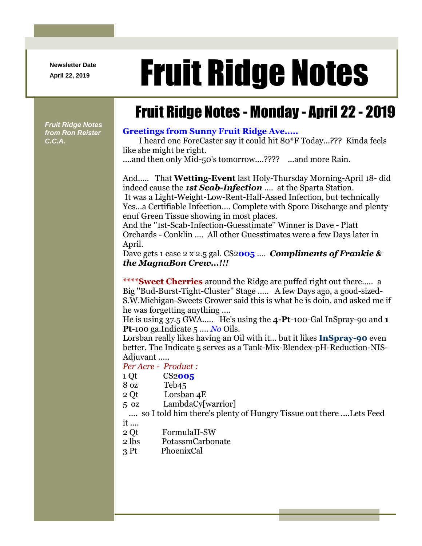**Newsletter Date**

## April 22, 2019 **Fruit Ridge Notes**

## Fruit Ridge Notes - Monday - April 22 - 2019

*Fruit Ridge Notes from Ron Reister C.C.A.*

## **Greetings from Sunny Fruit Ridge Ave.....**

I heard one ForeCaster say it could hit 80\*F Today...??? Kinda feels like she might be right.

....and then only Mid-50's tomorrow....???? ...and more Rain.

And..... That **Wetting-Event** last Holy-Thursday Morning-April 18- did indeed cause the *1st Scab-Infection* .... at the Sparta Station. It was a Light-Weight-Low-Rent-Half-Assed Infection, but technically Yes...a Certifiable Infection.... Complete with Spore Discharge and plenty enuf Green Tissue showing in most places.

And the ''1st-Scab-Infection-Guesstimate'' Winner is Dave - Platt Orchards - Conklin .... All other Guesstimates were a few Days later in April.

Dave gets 1 case 2 x 2.5 gal. CS2**005** .... *Compliments of Frankie & the MagnaBon Crew...!!!*

**\*\*\*\*Sweet Cherries** around the Ridge are puffed right out there..... a Big ''Bud-Burst-Tight-Cluster'' Stage ..... A few Days ago, a good-sized-S.W.Michigan-Sweets Grower said this is what he is doin, and asked me if he was forgetting anything ....

He is using 37.5 GWA..... He's using the **4-Pt**-100-Gal InSpray-90 and **1 Pt**-100 ga.Indicate 5 .... *No* Oils.

Lorsban really likes having an Oil with it... but it likes **InSpray-90** even better. The Indicate 5 serves as a Tank-Mix-Blendex-pH-Reduction-NIS-Adjuvant .....

*Per Acre - Product :*

- 1 Qt CS2**005**
- 8 oz Teb45
- 2 Qt Lorsban 4E
- 5 oz LambdaCy[warrior]

.... so I told him there's plenty of Hungry Tissue out there ....Lets Feed it ....

- 2 Qt FormulaII-SW
- 2 lbs PotassmCarbonate
- 3 Pt PhoenixCal